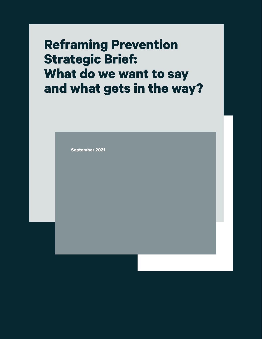# **Reframing Prevention Strategic Brief: What do we want to say and what gets in the way?**

**September 2021**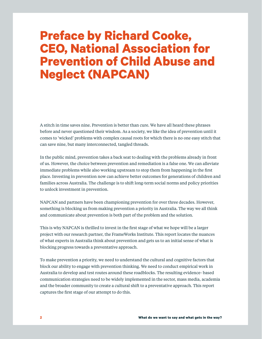# **Preface by Richard Cooke, CEO, National Association for Prevention of Child Abuse and Neglect (NAPCAN)**

A stitch in time saves nine. Prevention is better than cure. We have all heard these phrases before and never questioned their wisdom. As a society, we like the idea of prevention until it comes to 'wicked' problems with complex causal roots for which there is no one easy stitch that can save nine, but many interconnected, tangled threads.

In the public mind, prevention takes a back seat to dealing with the problems already in front of us. However, the choice between prevention and remediation is a false one. We can alleviate immediate problems while also working upstream to stop them from happening in the first place. Investing in prevention now can achieve better outcomes for generations of children and families across Australia. The challenge is to shift long-term social norms and policy priorities to unlock investment in prevention.

NAPCAN and partners have been championing prevention for over three decades. However, something is blocking us from making prevention a priority in Australia. The way we all think and communicate about prevention is both part of the problem and the solution.

This is why NAPCAN is thrilled to invest in the first stage of what we hope will be a larger project with our research partner, the FrameWorks Institute. This report locates the nuances of what experts in Australia think about prevention and gets us to an initial sense of what is blocking progress towards a preventative approach.

To make prevention a priority, we need to understand the cultural and cognitive factors that block our ability to engage with prevention thinking. We need to conduct empirical work in Australia to develop and test routes around these roadblocks. The resulting evidence- based communication strategies need to be widely implemented in the sector, mass media, academia and the broader community to create a cultural shift to a preventative approach. This report captures the first stage of our attempt to do this.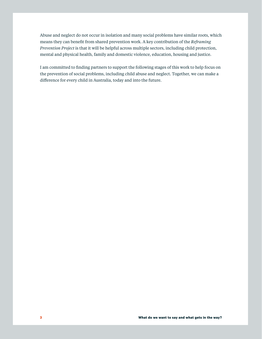Abuse and neglect do not occur in isolation and many social problems have similar roots, which means they can benefit from shared prevention work. A key contribution of the *Reframing Prevention Project* is that it will be helpful across multiple sectors, including child protection, mental and physical health, family and domestic violence, education, housing and justice.

I am committed to finding partners to support the following stages of this work to help focus on the prevention of social problems, including child abuse and neglect. Together, we can make a difference for every child in Australia, today and into the future.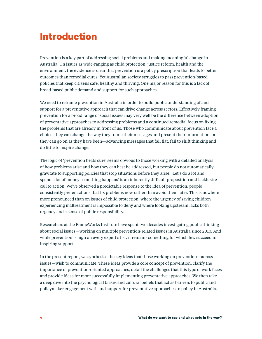## **Introduction**

Prevention is a key part of addressing social problems and making meaningful change in Australia. On issues as wide-ranging as child protection, justice reform, health and the environment, the evidence is clear that prevention is a policy prescription that leads to better outcomes than remedial cures. Yet Australian society struggles to pass prevention-based policies that keep citizens safe, healthy and thriving. One major reason for this is a lack of broad-based public demand and support for such approaches.

We need to reframe prevention in Australia in order to build public understanding of and support for a preventative approach that can drive change across sectors. Effectively framing prevention for a broad range of social issues may very well be the difference between adoption of preventative approaches to addressing problems and a continued remedial focus on fixing the problems that are already in front of us. Those who communicate about prevention face a choice: they can change the way they frame their messages and present their information, or they can go on as they have been—advancing messages that fall flat, fail to shift thinking and do little to inspire change.

The logic of 'prevention beats cure' seems obvious to those working with a detailed analysis of how problems arise and how they can best be addressed, but people do not automatically gravitate to supporting policies that stop situations before they arise. 'Let's do a lot and spend a lot of money so nothing happens' is an inherently difficult proposition and lacklustre call to action. We've observed a predictable response to the idea of prevention: people consistently prefer actions that fix problems now rather than avoid them later. This is nowhere more pronounced than on issues of child protection, where the urgency of saving children experiencing maltreatment is impossible to deny and where looking upstream lacks both urgency and a sense of public responsibility.

Researchers at the FrameWorks Institute have spent two decades investigating public thinking about social issues—working on multiple prevention-related issues in Australia since 2010. And while prevention is high on every expert's list, it remains something for which few succeed in inspiring support.

In the present report, we synthesise the key ideas that those working on prevention—across issues—wish to communicate. These ideas provide a core concept of prevention, clarify the importance of prevention-oriented approaches, detail the challenges that this type of work faces and provide ideas for more successfully implementing preventative approaches. We then take a deep dive into the psychological biases and cultural beliefs that act as barriers to public and policymaker engagement with and support for preventative approaches to policy in Australia.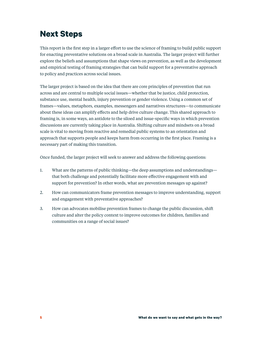## **Next Steps**

This report is the first step in a larger effort to use the science of framing to build public support for enacting preventative solutions on a broad scale in Australia. The larger project will further explore the beliefs and assumptions that shape views on prevention, as well as the development and empirical testing of framing strategies that can build support for a preventative approach to policy and practices across social issues.

The larger project is based on the idea that there are core principles of prevention that run across and are central to multiple social issues—whether that be justice, child protection, substance use, mental health, injury prevention or gender violence. Using a common set of frames—values, metaphors, examples, messengers and narratives structures—to communicate about these ideas can amplify effects and help drive culture change. This shared approach to framing is, in some ways, an antidote to the siloed and issue-specific ways in which prevention discussions are currently taking place in Australia. Shifting culture and mindsets on a broad scale is vital to moving from reactive and remedial public systems to an orientation and approach that supports people and keeps harm from occurring in the first place. Framing is a necessary part of making this transition.

Once funded, the larger project will seek to answer and address the following questions:

- 1. What are the patterns of public thinking—the deep assumptions and understandings that both challenge and potentially facilitate more effective engagement with and support for prevention? In other words, what are prevention messages up against?
- 2. How can communicators frame prevention messages to improve understanding, support and engagement with preventative approaches?
- 3. How can advocates mobilise prevention frames to change the public discussion, shift culture and alter the policy context to improve outcomes for children, families and communities on a range of social issues?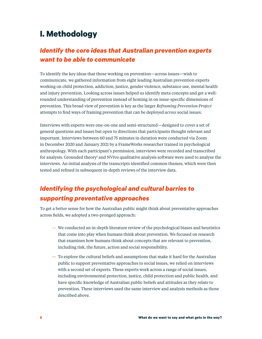## **I. Methodology**

### *Identify the core ideas that Australian prevention experts want to be able to communicate*

To identify the key ideas that those working on prevention—across issues—wish to communicate, we gathered information from eight leading Australian prevention experts working on child protection, addiction, justice, gender violence, substance use, mental health and injury prevention. Looking across issues helped us identify meta concepts and get a wellrounded understanding of prevention instead of homing in on issue-specific dimensions of prevention. This broad view of prevention is key as the larger *Reframing Prevention Project*  attempts to find ways of framing prevention that can be deployed *across* social issues.

Interviews with experts were one-on-one and semi-structured—designed to cover a set of general questions and issues but open to directions that participants thought relevant and important. Interviews between 60 and 75 minutes in duration were conducted via Zoom in December 2020 and January 2021 by a FrameWorks researcher trained in psychological anthropology. With each participant's permission, interviews were recorded and transcribed for analysis. Grounded theory<sup>1</sup> and NVivo qualitative analysis software were used to analyse the interviews. An initial analysis of the transcripts identified common themes, which were then tested and refined in subsequent in-depth reviews of the interview data.

### *Identifying the psychological and cultural barries to supporting preventative approaches*

To get a better sense for how the Australian public might think about preventative approaches across fields, we adopted a two-pronged approach:

- We conducted an in-depth literature review of the psychological biases and heuristics that come into play when humans think about prevention. We focused on research that examines how humans think about concepts that are relevant to prevention, including risk, the future, action and social responsibility.
- To explore the cultural beliefs and assumptions that make it hard for the Australian public to support preventative approaches to social issues, we relied on interviews with a second set of experts. These experts work across a range of social issues, including environmental protection, justice, child protection and public health, and have specific knowledge of Australian public beliefs and attitudes as they relate to prevention. These interviews used the same interview and analysis methods as those described above.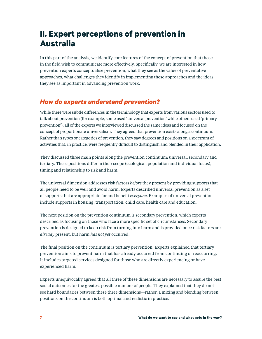## **II. Expert perceptions of prevention in Australia**

In this part of the analysis, we identify core features of the concept of prevention that those in the field wish to communicate more effectively. Specifically, we are interested in how prevention experts conceptualise prevention, what they see as the value of preventative approaches, what challenges they identify in implementing these approaches and the ideas they see as important in advancing prevention work.

### *How do experts understand prevention?*

While there were subtle differences in the terminology that experts from various sectors used to talk about prevention (for example, some used 'universal prevention' while others used 'primary prevention'), all of the experts we interviewed discussed the same ideas and focused on the concept of proportionate universalism. They agreed that prevention exists along a continuum. Rather than types or categories of prevention, they saw degrees and positions on a spectrum of activities that, in practice, were frequently difficult to distinguish and blended in their application.

They discussed three main points along the prevention continuum: universal, secondary and tertiary. These positions differ in their scope (ecological, population and individual focus), timing and relationship to risk and harm.

The universal dimension addresses risk factors *before* they present by providing supports that all people need to be well and avoid harm. Experts described universal prevention as a set of supports that are appropriate for and benefit *everyone*. Examples of universal prevention include supports in housing, transportation, child care, health care and education.

The next position on the prevention continuum is secondary prevention, which experts described as focusing on those who face a more specific set of circumstances. Secondary prevention is designed to keep risk from turning into harm and is provided once risk factors are *already* present, but harm *has not yet* occurred.

The final position on the continuum is tertiary prevention. Experts explained that tertiary prevention aims to prevent harm that has already occurred from continuing or reoccurring. It includes targeted services designed for those who are directly experiencing or have experienced harm.

Experts unequivocally agreed that all three of these dimensions are necessary to assure the best social outcomes for the greatest possible number of people. They explained that they do not see hard boundaries between these three dimensions—rather, a mixing and blending between positions on the continuum is both optimal and realistic in practice.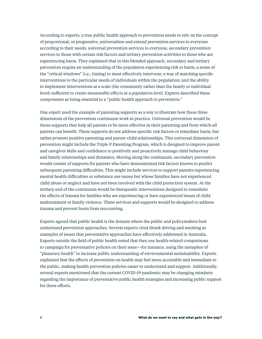According to experts, a true public health approach to prevention needs to rely on the concept of proportional, or progressive, universalism and extend prevention services to everyone according to their needs: universal prevention services to everyone, secondary prevention services to those with certain risk factors and tertiary prevention activities to those who are experiencing harm. They explained that in this blended approach, secondary and tertiary prevention require an understanding of the population experiencing risk or harm; a sense of the "critical windows" (i.e., timing) to most effectively intervene; a way of matching specific interventions to the particular needs of individuals within the population; and the ability to implement interventions at a scale (the community rather than the family or individual level) sufficient to create measurable effects at a population level. Experts described these components as being essential to a "public health approach to prevention."

One expert used the example of parenting supports as a way to illustrate how these three dimensions of the prevention continuum work in practice. Universal prevention would be those supports that help all parents to be more effective in their parenting and from which *all*  parents can benefit. These supports do not address specific risk factors or remediate harm, but rather *promote* positive parenting and parent-child relationships. This universal dimension of prevention might include the Triple P Parenting Program, which is designed to improve parent and caregiver skills and confidence to positively and proactively manage child behaviour and family relationships and dynamics. Moving along the continuum, secondary prevention would consist of supports for parents who have demonstrated risk factors known to predict subsequent parenting difficulties. This might include services to support parents experiencing mental health difficulties or substance use issues but whose families have not experienced child abuse or neglect and have not been involved with the child protection system. At the tertiary end of the continuum would be therapeutic interventions designed to remediate the effects of trauma for families who are experiencing or have experienced issues of child maltreatment or family violence. These services and supports would be designed to address trauma and prevent harm from reoccurring.

Experts agreed that public health is the domain where the public and policymakers best understand prevention approaches. Several experts cited drunk driving and smoking as examples of issues that preventative approaches have effectively addressed in Australia. Experts outside the field of public health noted that they use health-related comparisons to campaign for preventative policies on their issue—for instance, using the metaphor of "planetary health" to increase public understanding of environmental sustainability. Experts explained that the effects of prevention on health may feel more accessible and immediate to the public, making health prevention policies easier to understand and support. Additionally, several experts mentioned that the current COVID-19 pandemic may be changing mindsets regarding the importance of preventative public health strategies and increasing public support for these efforts.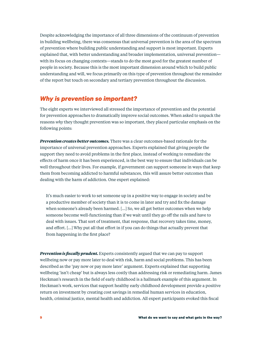Despite acknowledging the importance of all three dimensions of the continuum of prevention in building wellbeing, there was consensus that universal prevention is the area of the spectrum of prevention where building public understanding and support is most important. Experts explained that, with better understanding and broader implementation, universal prevention with its focus on changing contexts—stands to do the most good for the greatest number of people in society. Because this is the most important dimension around which to build public understanding and will, we focus primarily on this type of prevention throughout the remainder of the report but touch on secondary and tertiary prevention throughout the discussion.

### *Why is prevention so important?*

The eight experts we interviewed all stressed the importance of prevention and the potential for prevention approaches to dramatically improve social outcomes. When asked to unpack the reasons *why* they thought prevention was so important, they placed particular emphasis on the following points:

*Prevention creates better outcomes.* There was a clear outcomes-based rationale for the importance of universal prevention approaches. Experts explained that giving people the support they need to avoid problems in the first place, instead of working to remediate the effects of harm once it has been experienced, is the best way to ensure that individuals can be well throughout their lives. For example, if government can support someone in ways that keep them from becoming addicted to harmful substances, this will assure better outcomes than dealing with the harm of addiction. One expert explained:

It's much easier to work to set someone up in a positive way to engage in society and be a productive member of society than it is to come in later and try and fix the damage when someone's already been harmed. […] So, we all get better outcomes when we help someone become well-functioning than if we wait until they go off the rails and have to deal with issues. That sort of treatment, that response, that recovery takes time, money, and effort. […] Why put all that effort in if you can do things that actually prevent that from happening in the first place?

*Prevention is fiscally prudent.* Experts consistently argued that we can pay to support wellbeing now or pay more later to deal with risk, harm and social problems. This has been described as the 'pay now or pay more later' argument. Experts explained that supporting wellbeing 'isn't cheap' but is always less costly than addressing risk or remediating harm. James Heckman's research in the field of early childhood is a hallmark example of this argument. In Heckman's work, services that support healthy early childhood development provide a positive return on investment by creating cost savings in remedial human services in education, health, criminal justice, mental health and addiction. All expert participants evoked this fiscal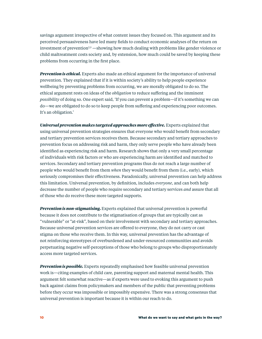savings argument irrespective of what content issues they focused on. This argument and its perceived persuasiveness have led many fields to conduct economic analyses of the return on investment of prevention<sup>2,3</sup> —showing how much dealing with problems like gender violence or child maltreatment costs society and, by extension, how much could be saved by keeping these problems from occurring in the first place.

*Prevention is ethical.* Experts also made an ethical argument for the importance of universal prevention. They explained that if it is within society's ability to help people experience wellbeing by preventing problems from occurring, we are morally obligated to do so. The ethical argument rests on ideas of the *obligation* to reduce suffering and the imminent *possibility* of doing so. One expert said, 'If you can prevent a problem—if it's something we can do—we are obligated to do so to keep people from suffering and experiencing poor outcomes. It's an obligation.'

*Universal prevention makes targeted approaches more effective.* Experts explained that using universal prevention strategies ensures that everyone who would benefit from secondary and tertiary prevention services receives them. Because secondary and tertiary approaches to prevention focus on addressing risk and harm, they only serve people who have already been identified as experiencing risk and harm. Research shows that only a very small percentage of individuals with risk factors or who are experiencing harm are identified and matched to services. Secondary and tertiary prevention programs thus do not reach a large number of people who would benefit from them *when* they would benefit from them (i.e., early), which seriously compromises their effectiveness. Paradoxically, universal prevention can help address this limitation. Universal prevention, by definition, includes *everyone*, and can both help decrease the number of people who require secondary and tertiary services *and* assure that all of those who do receive these more targeted supports.

*Prevention is non-stigmatising.* Experts explained that universal prevention is powerful because it does not contribute to the stigmatisation of groups that are typically cast as "vulnerable" or "at-risk", based on their involvement with secondary and tertiary approaches. Because universal prevention services are offered to everyone, they do not carry or cast stigma on those who receive them. In this way, universal prevention has the advantage of not reinforcing stereotypes of overburdened and under-resourced communities and avoids perpetuating negative self-perceptions of those who belong to groups who disproportionately access more targeted services.

*Prevention is possible.* Experts repeatedly emphasised how feasible universal prevention work is—citing examples of child care, parenting support and maternal mental health. This argument felt somewhat reactive—as if experts were used to evoking this argument to push back against claims from policymakers and members of the public that preventing problems before they occur was impossible or impossibly expensive. There was a strong consensus that universal prevention is important because it is within our reach to do.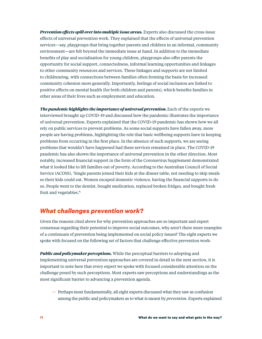*Prevention effects spill over into multiple issue areas.* Experts also discussed the cross-issue effects of universal prevention work. They explained that the effects of universal prevention services—say, playgroups that bring together parents and children in an informal, community environment—are felt beyond the immediate issue at hand. In addition to the immediate benefits of play and socialisation for young children, playgroups also offer parents the opportunity for social support, connectedness, informal learning opportunities and linkages to other community resources and services. These linkages and supports are not limited to childrearing, with connections between families often forming the basis for increased community cohesion more generally. Importantly, feelings of social inclusion are linked to positive effects on mental health (for both children and parents), which benefits families in other areas of their lives such as employment and education.

*The pandemic highlights the importance of universal prevention.* **Each of the experts we** interviewed brought up COVID-19 and discussed how the pandemic illustrates the importance of universal prevention. Experts explained that the COVID-19 pandemic has shown how we all rely on public services to prevent problems. As some social supports have fallen away, more people are having problems, highlighting the role that basic wellbeing supports have in keeping problems from occurring in the first place. In the absence of such supports, we are seeing problems that wouldn't have happened had these services remained in place. The COVID-19 pandemic has also shown the importance of universal prevention in the other direction. Most notably, increased financial support in the form of the Coronavirus Supplement demonstrated what it looked like to lift families out of poverty. According to the Australian Council of Social Service (ACOSS), 'Single parents joined their kids at the dinner table, not needing to skip meals so their kids could eat. Women escaped domestic violence, having the financial supports to do so. People went to the dentist, bought medication, replaced broken fridges, and bought fresh fruit and vegetables.'4

### *What challenges prevention work?*

Given the reasons cited above for why prevention approaches are so important and expert consensus regarding their potential to improve social outcomes, why aren't there more examples of a continuum of prevention being implemented on social policy issues? The eight experts we spoke with focused on the following set of factors that challenge effective prevention work:

*Public and policymaker perceptions.* While the perceptual barriers to adopting and implementing universal prevention approaches are covered in detail in the next section, it is important to note here that every expert we spoke with focused considerable attention on the challenge posed by such perceptions. Most experts saw perceptions and understandings as the most significant barrier to advancing a prevention agenda.

— Perhaps most fundamentally, all eight experts discussed what they saw as confusion among the public and policymakers as to what is meant by *prevention*. Experts explained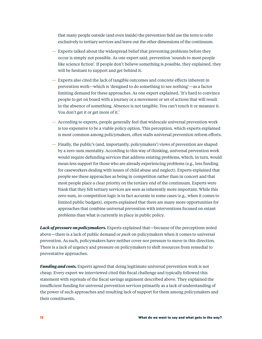that many people outside (and even inside) the prevention field use the term to refer exclusively to tertiary services and leave out the other dimensions of the continuum.

- Experts talked about the widespread belief that preventing problems before they occur is simply not possible. As one expert said, prevention 'sounds to most people like science fiction'. If people don't believe something is possible, they explained, they will be hesitant to support and get behind it.
- Experts also cited the lack of tangible outcomes and concrete effects inherent in prevention work—which is 'designed to do something to see nothing'—as a factor limiting demand for these approaches. As one expert explained, 'It's hard to convince people to get on board with a journey or a movement or set of actions that will result in the absence of something. Absence is not tangible. You can't touch it or measure it. You don't get it or get more of it.'
- According to experts, people generally feel that widescale universal prevention work is too expensive to be a viable policy option. This perception, which experts explained is most common among policymakers, often stalls universal prevention reform efforts.
- Finally, the public's (and, importantly, policymakers') views of prevention are shaped by a zero-sum mentality. According to this way of thinking, universal prevention work would require defunding services that address existing problems, which, in turn, would mean less support for those who are already experiencing problems (e.g., less funding for caseworkers dealing with issues of child abuse and neglect). Experts explained that people see these approaches as being in competition rather than in concert and that most people place a clear priority on the tertiary end of the continuum. Experts were frank that they felt tertiary services are seen as inherently more important. While this zero-sum, in-competition logic is in fact accurate in some cases (e.g., when it comes to limited public budgets), experts explained that there are many more opportunities for approaches that combine universal prevention with interventions focused on extant problems than what is currently in place in public policy.

Lack of **pressure on policymakers.** Experts explained that—because of the perceptions noted above—there is a lack of public demand or *push* on policymakers when it comes to universal prevention. As such, policymakers have neither cover nor pressure to move in this direction. There is a lack of urgency and pressure on policymakers to shift resources from remedial to preventative approaches.

*Funding and costs.* Experts agreed that doing legitimate universal prevention work is not cheap. Every expert we interviewed cited this fiscal challenge and typically followed this statement with reprisals of the fiscal savings argument described above. They explained the insufficient funding for universal prevention services primarily as a lack of understanding of the power of such approaches and resulting lack of support for them among policymakers and their constituents.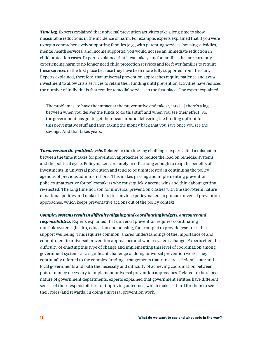*Time lag.* Experts explained that universal prevention activities take a long time to show measurable reductions in the incidence of harm. For example, experts explained that if you were to begin comprehensively supporting families (e.g., with parenting services, housing subsidies, mental health services, and income supports), you would not see an immediate reduction in child protection cases. Experts explained that it can take years for families that are currently experiencing harm to no longer need child protection services and for fewer families to require these services in the first place because they have been more fully supported from the start. Experts explained, therefore, that universal prevention approaches require patience and *extra* investment to allow crisis services to retain their funding until prevention activities have reduced the number of individuals that require remedial services in the first place. One expert explained:

The problem is, to have the impact at the preventative end takes years […] there's a lag between when you deliver the funds to do this stuff and when you see their effect. So, the government has got to get their head around delivering the funding upfront for this preventative stuff and then taking the money back that you save once you see the savings. And that takes years.

*Turnover and the political cycle.* Related to the time-lag challenge, experts cited a mismatch between the time it takes for prevention approaches to reduce the load on remedial systems and the political cycle. Policymakers are rarely in office long enough to reap the benefits of investments in universal prevention and tend to be uninterested in continuing the policy agendas of previous administrations. This makes passing and implementing prevention policies unattractive for policymakers who must quickly accrue wins and think about getting re-elected. The long time horizon for universal prevention clashes with the short-term nature of national politics and makes it hard to convince policymakers to pursue universal prevention approaches, which keeps preventative actions out of the policy context.

#### *Complex systems result in difficulty aligning and coordinating budgets, outcomes and*

*responsibilities.* Experts explained that universal prevention requires coordinating multiple systems (health, education and housing, for example) to provide resources that support wellbeing. This requires common, shared understandings of the importance of and commitment to universal prevention approaches and whole-systems change. Experts cited the difficulty of enacting this type of change and implementing this level of coordination among government systems as a significant challenge of doing universal prevention work. They continually referred to the complex funding arrangements that run across federal, state and local governments and both the necessity and difficulty of achieving coordination between pots of money necessary to implement universal prevention approaches. Related to the siloed nature of government departments, experts explained that government entities have different senses of their responsibilities for improving outcomes, which makes it hard for them to see their roles (and rewards) in doing universal prevention work.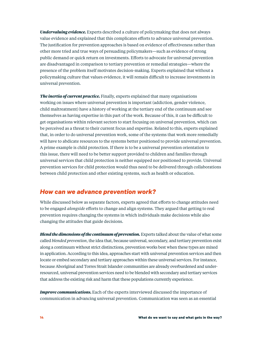*Undervaluing evidence.* Experts described a culture of policymaking that does not always value evidence and explained that this complicates efforts to advance universal prevention. The justification for prevention approaches is based on evidence of effectiveness rather than other more tried and true ways of persuading policymakers—such as evidence of strong public demand or quick return on investments. Efforts to advocate for universal prevention are disadvantaged in comparison to tertiary prevention or remedial strategies—where the presence of the problem itself motivates decision-making. Experts explained that without a policymaking culture that values evidence, it will remain difficult to increase investments in universal prevention.

*The inertia of current practice.* Finally, experts explained that many organisations working on issues where universal prevention is important (addiction, gender violence, child maltreatment) have a history of working at the tertiary end of the continuum and see themselves as having expertise in this part of the work. Because of this, it can be difficult to get organisations within relevant sectors to start focusing on universal prevention, which can be perceived as a threat to their current focus and expertise. Related to this, experts explained that, in order to do universal prevention work, some of the systems that work more remedially will have to abdicate resources to the systems better positioned to provide universal prevention. A prime example is child protection. If there is to be a universal prevention orientation to this issue, there will need to be better support provided to children and families through universal services that child protection is neither equipped nor positioned to provide. Universal prevention services for child protection would thus need to be delivered through collaborations between child protection and other existing systems, such as health or education.

### *How can we advance prevention work?*

While discussed below as separate factors, experts agreed that efforts to change attitudes need to be engaged *alongside* efforts to change and align systems. They argued that getting to real prevention requires changing the systems in which individuals make decisions while also changing the attitudes that guide decisions.

*Blend the dimensions of the continuum of prevention.* Experts talked about the value of what some called *blended prevention*, the idea that, because universal, secondary, and tertiary prevention exist along a continuum without strict distinctions, prevention works best when these types are mixed in application. According to this idea, approaches start with universal prevention services and then locate or embed secondary and tertiary approaches within these universal services. For instance, because Aboriginal and Torres Strait Islander communities are already overburdened and underresourced, universal prevention services need to be blended with secondary and tertiary services that address the existing risk and harm that these populations currently experience.

*Improve communications.* Each of the experts interviewed discussed the importance of communication in advancing universal prevention. Communication was seen as an essential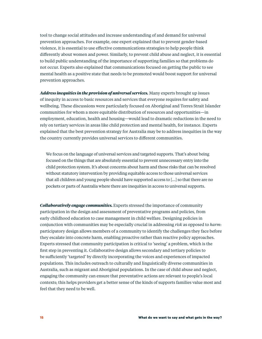tool to change social attitudes and increase understanding of and demand for universal prevention approaches. For example, one expert explained that to prevent gender-based violence, it is essential to use effective communications strategies to help people think differently about women and power. Similarly, to prevent child abuse and neglect, it is essential to build public understanding of the importance of supporting families so that problems do not occur. Experts also explained that communications focused on getting the public to see mental health as a positive state that needs to be promoted would boost support for universal prevention approaches.

*Address inequities in the provision of universal services.* Many experts brought up issues of inequity in access to basic resources and services that everyone requires for safety and wellbeing. These discussions were particularly focused on Aboriginal and Torres Strait Islander communities for whom a more equitable distribution of resources and opportunities—in employment, education, health and housing—would lead to dramatic reductions in the need to rely on tertiary services in areas like child protection and mental health, for instance. Experts explained that the best prevention strategy for Australia may be to address inequities in the way the country currently provides universal services to different communities.

We focus on the language of universal services and targeted supports. That's about being focused on the things that are absolutely essential to prevent unnecessary entry into the child protection system. It's about concerns about harm and those risks that can be resolved without statutory intervention by providing equitable access to those universal services that all children and young people should have supported access to […] so that there are no pockets or parts of Australia where there are inequities in access to universal supports.

*Collaboratively engage communities.* Experts stressed the importance of community participation in the design and assessment of preventative programs and policies, from early childhood education to case management in child welfare. Designing policies in conjunction with communities may be especially crucial in addressing *risk* as opposed to *harm*: participatory design allows members of a community to identify the challenges they face before they escalate into concrete harm, enabling proactive rather than reactive policy approaches. Experts stressed that community participation is critical to 'seeing' a problem, which is the first step in preventing it. Collaborative design allows secondary and tertiary policies to be sufficiently 'targeted' by directly incorporating the voices and experiences of impacted populations. This includes outreach to culturally and linguistically diverse communities in Australia, such as migrant and Aboriginal populations. In the case of child abuse and neglect, engaging the community can ensure that preventative actions are relevant to people's local contexts; this helps providers get a better sense of the kinds of supports families value most and feel that they need to be well.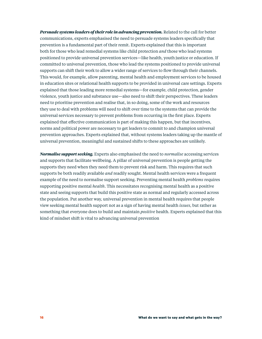*Persuade systems leaders of their role in advancing prevention.* Related to the call for better communications, experts emphasised the need to persuade systems leaders specifically that prevention is a fundamental part of their remit. Experts explained that this is important both for those who lead remedial systems like child protection *and* those who lead systems positioned to provide universal prevention services—like health, youth justice or education. If committed to universal prevention, those who lead the systems positioned to provide universal supports can shift their work to allow a wider range of services to flow through their channels. This would, for example, allow parenting, mental health and employment services to be housed in education sites or relational health supports to be provided in universal care settings. Experts explained that those leading more remedial systems—for example, child protection, gender violence, youth justice and substance use—also need to shift their perspectives. These leaders need to prioritise prevention and realise that, in so doing, some of the work and resources they use to deal with problems will need to shift over time to the systems that can provide the universal services necessary to prevent problems from occurring in the first place. Experts explained that effective communication is part of making this happen, but that incentives, norms and political power are necessary to get leaders to commit to and champion universal prevention approaches. Experts explained that, without systems leaders taking up the mantle of universal prevention, meaningful and sustained shifts to these approaches are unlikely.

*Normalise support seeking.* Experts also emphasised the need to *normalise* accessing services and supports that facilitate wellbeing. A pillar of universal prevention is people getting the supports they need when they need them to prevent risk and harm. This requires that such supports be both readily available *and* readily sought. Mental health services were a frequent example of the need to normalise support seeking. Preventing mental health *problems* requires supporting positive mental *health*. This necessitates recognising mental health as a positive state and seeing supports that build this positive state as normal and regularly accessed across the population. Put another way, universal prevention in mental health requires that people view seeking mental health support not as a sign of having mental health *issues*, but rather as something that everyone does to build and maintain *positive* health. Experts explained that this kind of mindset shift is vital to advancing universal prevention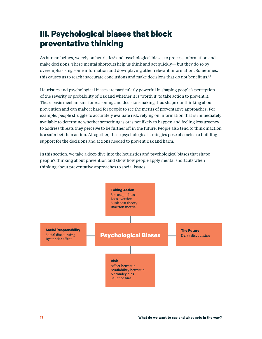## **III. Psychological biases that block preventative thinking**

As human beings, we rely on heuristics<sup>5</sup> and psychological biases to process information and make decisions. These mental shortcuts help us think and act quickly— but they do so by overemphasising some information and downplaying other relevant information. Sometimes, this causes us to reach inaccurate conclusions and make decisions that do not benefit us.<sup>6,7</sup>

Heuristics and psychological biases are particularly powerful in shaping people's perception of the severity or probability of risk and whether it is 'worth it' to take action to prevent it. These basic mechanisms for reasoning and decision-making thus shape our thinking about prevention and can make it hard for people to see the merits of preventative approaches. For example, people struggle to accurately evaluate risk, relying on information that is immediately available to determine whether something is or is not likely to happen and feeling less urgency to address threats they perceive to be further off in the future. People also tend to think inaction is a safer bet than action. Altogether, these psychological strategies pose obstacles to building support for the decisions and actions needed to prevent risk and harm.

In this section, we take a deep dive into the heuristics and psychological biases that shape people's thinking about prevention and show how people apply mental shortcuts when thinking about preventative approaches to social issues.

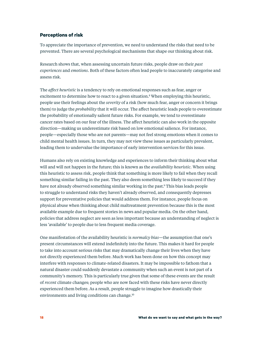#### **Perceptions of risk**

To appreciate the importance of prevention, we need to understand the risks that need to be prevented. There are several psychological mechanisms that shape our thinking about risk.

Research shows that, when assessing uncertain future risks, people draw on their *past experiences* and *emotions*. Both of these factors often lead people to inaccurately categorise and assess risk.

The *affect heuristic* is a tendency to rely on emotional responses such as fear, anger or excitement to determine how to react to a given situation.<sup>8</sup> When employing this heuristic, people use their feelings about the *severity* of a risk (how much fear, anger or concern it brings them) to judge the *probability* that it will occur. The affect heuristic leads people to overestimate the probability of emotionally salient future risks. For example, we tend to overestimate cancer rates based on our fear of the illness. The affect heuristic can also work in the opposite direction—making us underestimate risk based on low emotional salience. For instance, people—especially those who are not parents—may not feel strong emotions when it comes to child mental health issues. In turn, they may not view these issues as particularly prevalent, leading them to undervalue the importance of early intervention services for this issue.

Humans also rely on existing knowledge and experiences to inform their thinking about what will and will not happen in the future; this is known as the *availability heuristic.* When using this heuristic to assess risk, people think that something is more likely to fail when they recall something similar failing in the past. They also deem something less likely to succeed if they have not already observed something similar working in the past.9 This bias leads people to struggle to understand risks they haven't already observed, and consequently depresses support for preventative policies that would address them. For instance, people focus on physical abuse when thinking about child maltreatment prevention because this is the most available example due to frequent stories in news and popular media. On the other hand, policies that address neglect are seen as less important because an understanding of neglect is less 'available' to people due to less frequent media coverage.

One manifestation of the availability heuristic is *normalcy bias*—the assumption that one's present circumstances will extend indefinitely into the future. This makes it hard for people to take into account serious risks that may dramatically change their lives when they have not directly experienced them before. Much work has been done on how this concept may interfere with responses to climate-related disasters. It may be impossible to fathom that a natural disaster could suddenly devastate a community when such an event is not part of a community's memory. This is particularly true given that some of these events are the result of *recent* climate changes; people who are now faced with these risks have never directly experienced them before. As a result, people struggle to imagine how drastically their environments and living conditions can change.10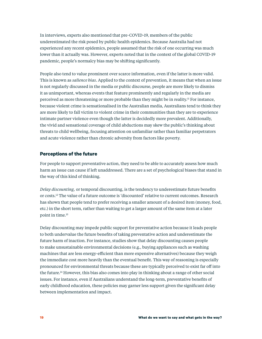In interviews, experts also mentioned that pre-COVID-19, members of the public underestimated the risk posed by public health epidemics. Because Australia had not experienced any recent epidemics, people assumed that the risk of one occurring was much lower than it actually was. However, experts noted that in the context of the global COVID-19 pandemic, people's normalcy bias may be shifting significantly.

People also tend to value prominent over scarce information, even if the latter is more valid. This is known as *salience bias*. Applied to the context of prevention, it means that when an issue is not regularly discussed in the media or public discourse, people are more likely to dismiss it as unimportant, whereas events that feature prominently and regularly in the media are perceived as more threatening or more probable than they might be in reality.11 For instance, because violent crime is sensationalised in the Australian media, Australians tend to think they are more likely to fall victim to violent crime in their communities than they are to experience intimate partner violence even though the latter is decidedly more prevalent. Additionally, the vivid and sensational coverage of child abductions may skew the public's thinking about threats to child wellbeing, focusing attention on unfamiliar rather than familiar perpetrators and acute violence rather than chronic adversity from factors like poverty.

#### **Perceptions of the future**

For people to support preventative action, they need to be able to accurately assess how much harm an issue can cause if left unaddressed. There are a set of psychological biases that stand in the way of this kind of thinking.

*Delay discounting,* or temporal discounting, is the tendency to underestimate future benefits or costs.12 The value of a future outcome is 'discounted' relative to current outcomes. Research has shown that people tend to prefer receiving a smaller amount of a desired item (money, food, etc.) in the short term, rather than waiting to get a larger amount of the same item at a later point in time.13

Delay discounting may impede public support for preventative action because it leads people to both undervalue the future benefits of taking preventative action and underestimate the future harm of inaction. For instance, studies show that delay discounting causes people to make unsustainable environmental decisions (e.g., buying appliances such as washing machines that are less energy-efficient than more expensive alternatives) because they weigh the immediate cost more heavily than the eventual benefit. This way of reasoning is especially pronounced for environmental threats because these are typically perceived to exist far off into the future.14 However, this bias also comes into play in thinking about a range of other social issues. For instance, even if Australians understand the long-term, preventative benefits of early childhood education, these policies may garner less support given the significant delay between implementation and impact.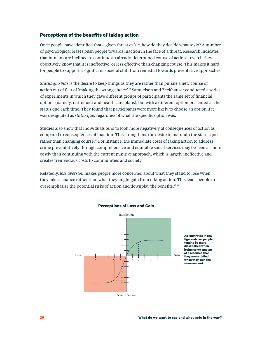#### **Perceptions of the benefits of taking action**

Once people have identified that a given threat *exists*, how do they decide what to do? A number of psychological biases push people towards inaction in the face of a threat. Research indicates that humans are inclined to continue an already-determined course of action—even if they objectively know that it is ineffective, or less effective than changing course. This makes it hard for people to support a significant societal shift from remedial towards preventative approaches.

*Status quo bias* is the desire to keep things as they are rather than pursue a new course of action out of fear of 'making the wrong choice'.15 Samuelson and Zeckhauser conducted a series of experiments in which they gave different groups of participants the same set of financial options (namely, retirement and health care plans), but with a different option presented as the status quo each time. They found that participants were more likely to choose an option if it was designated as *status quo,* regardless of what the specific option was.

Studies also show that individuals tend to look more negatively at consequences of action as compared to consequences of inaction. This strengthens the desire to maintain the status quo rather than changing course.16 For instance, the immediate costs of taking action to address crime preventatively through comprehensive and equitable social services may be seen as more costly than continuing with the current punitive approach, which is largely ineffective and creates tremendous costs to communities and society.

Relatedly, *loss aversion* makes people more concerned about what they stand to lose when they take a chance rather than what they might gain from taking action. This leads people to overemphasise the potential risks of action and downplay the benefits.<sup>17, 18</sup>



#### **Perceptions of Loss and Gain**

**As illustrated in the figure above, people tend to be more dissatisfied when losing some amount of a resource than they are satisfied when they gain the same amount.**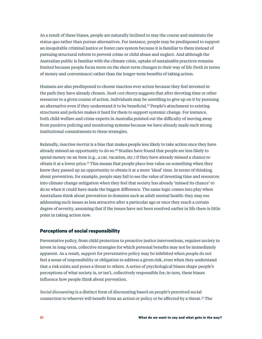As a result of these biases, people are naturally inclined to stay the course and maintain the status quo rather than pursue alternatives. For instance, people may be predisposed to support an inequitable criminal justice or foster care system because it is familiar to them instead of pursuing structural reform to prevent crime or child abuse and neglect. And although the Australian public is familiar with the climate crisis, uptake of sustainable practices remains limited because people focus more on the short-term changes to their way of life (both in terms of money and convenience) rather than the longer-term benefits of taking action.

Humans are also predisposed to choose inaction over action because they feel invested in the path they have already chosen. *Sunk cost theory* suggests that after devoting time or other resources to a given course of action, individuals may be unwilling to give up on it by pursuing an alternative even if they understand it to be beneficial.<sup>19</sup> People's attachment to existing structures and policies makes it hard for them to support systemic change. For instance, both child welfare and crime experts in Australia pointed out the difficulty of moving away from punitive policing and monitoring systems because we have already made such strong institutional commitments to these strategies.

Relatedly, *inaction inertia* is a bias that makes people less likely to take action once they have already missed an opportunity to do so.<sup>20</sup> Studies have found that people are less likely to spend money on an item (e.g., a car, vacation, etc.) if they have already missed a chance to obtain it at a lower price.<sup>21</sup> This means that people place less value on something when they know they passed up an opportunity to obtain it at a more 'ideal' time. In terms of thinking about prevention, for example, people may fail to see the value of investing time and resources into climate change mitigation when they feel that society has already 'missed its chance' to do so when it could have made the biggest difference. The same logic comes into play when Australians think about prevention in domains such as adult mental health: they may see addressing such issues as less attractive after a particular age or once they reach a certain degree of severity, assuming that if the issues have not been resolved earlier in life there is little point in taking action now.

#### **Perceptions of social responsibility**

Preventative policy, from child protection to proactive justice interventions, requires society to invest in long-term, collective strategies for which personal benefits may not be immediately apparent. As a result, support for preventative policy may be inhibited when people do not feel a sense of responsibility or obligation to address a given risk, even when they understand that a risk exists and poses a threat to others. A series of psychological biases shape people's perceptions of what society is, or isn't, collectively responsible for; in turn, these biases influence how people think about prevention.

*Social discounting* is a distinct form of discounting based on people's perceived social connection to whoever will benefit from an action or policy or be affected by a threat. $2^{\circ}$  The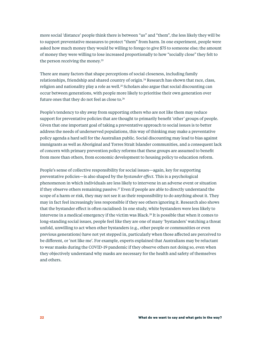more social 'distance' people think there is between "us" and "them", the less likely they will be to support preventative measures to protect "them" from harm. In one experiment, people were asked how much money they would be willing to forego to give \$75 to someone else; the amount of money they were willing to lose increased proportionally to how "socially close" they felt to the person receiving the money.<sup>23</sup>

There are many factors that shape perceptions of social closeness, including family relationships, friendship and shared country of origin.<sup>24</sup> Research has shown that race, class, religion and nationality play a role as well.<sup>25</sup> Scholars also argue that social discounting can occur between generations, with people more likely to prioritise their own generation over future ones that they do not feel as close to.<sup>26</sup>

People's tendency to shy away from supporting others who are not like them may reduce support for preventative policies that are thought to primarily benefit 'other' groups of people. Given that one important goal of taking a preventative approach to social issues is to better address the needs of underserved populations, this way of thinking may make a preventative policy agenda a hard sell for the Australian public. Social discounting may lead to bias against immigrants as well as Aboriginal and Torres Strait Islander communities, and a consequent lack of concern with primary prevention policy reforms that these groups are assumed to benefit from more than others, from economic development to housing policy to education reform.

People's sense of collective responsibility for social issues—again, key for supporting preventative policies—is also shaped by the *bystander effect.* This is a psychological phenomenon in which individuals are less likely to intervene in an adverse event or situation if they observe others remaining passive.<sup>27</sup> Even if people are able to directly understand the scope of a harm or risk, they may not see it as their responsibility to do anything about it. They may in fact feel increasingly less responsible if they see others ignoring it. Research also shows that the bystander effect is often racialised: In one study, white bystanders were less likely to intervene in a medical emergency if the victim was Black.28 It is possible that when it comes to long-standing social issues, people feel like they are one of many 'bystanders' watching a threat unfold, unwilling to act when other bystanders (e.g., other people or communities or even previous generations) have not yet stepped in, particularly when those affected are perceived to be different, or 'not like me'. For example, experts explained that Australians may be reluctant to wear masks during the COVID-19 pandemic if they observe others not doing so, even when they objectively understand why masks are necessary for the health and safety of themselves and others.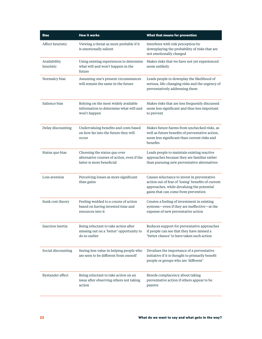| <b>Bias</b>               | <b>How it works</b>                                                                                     | What that means for prevention                                                                                                                                                        |
|---------------------------|---------------------------------------------------------------------------------------------------------|---------------------------------------------------------------------------------------------------------------------------------------------------------------------------------------|
| Affect heuristic          | Viewing a threat as more probable if it<br>is emotionally salient                                       | Interferes with risk perception by<br>downplaying the probability of risks that are<br>not emotionally charged                                                                        |
| Availability<br>heuristic | Using existing experiences to determine<br>what will and won't happen in the<br>future                  | Makes risks that we have not yet experienced<br>seem unlikely                                                                                                                         |
| Normalcy bias             | Assuming one's present circumstances<br>will remain the same in the future                              | Leads people to downplay the likelihood of<br>serious, life-changing risks and the urgency of<br>preventatively addressing them                                                       |
| Salience bias             | Relying on the most widely available<br>information to determine what will and<br>won't happen          | Makes risks that are less frequently discussed<br>seem less significant and thus less important<br>to prevent                                                                         |
| Delay discounting         | Undervaluing benefits and costs based<br>on how far into the future they will<br>occur                  | Makes future harms from unchecked risks, as<br>well as future benefits of preventative action,<br>seem less significant than current risks and<br>benefits                            |
| Status quo bias           | Choosing the status quo over<br>alternative courses of action, even if the<br>latter is more beneficial | Leads people to maintain existing reactive<br>approaches because they are familiar rather<br>than pursuing new preventative alternatives                                              |
| Loss aversion             | Perceiving losses as more significant<br>than gains                                                     | Causes reluctance to invest in preventative<br>action out of fear of 'losing' benefits of current<br>approaches, while devaluing the potential<br>gains that can come from prevention |
| Sunk cost theory          | Feeling wedded to a course of action<br>based on having invested time and<br>resources into it          | Creates a feeling of investment in existing<br>systems-even if they are ineffective-at the<br>expense of new preventative action                                                      |
| Inaction inertia          | Being reluctant to take action after<br>missing out on a 'better' opportunity to<br>do so earlier       | Reduces support for preventative approaches<br>if people can see that they have missed a<br>'better chance' to have taken such action                                                 |
| Social discounting        | Seeing less value in helping people who<br>are seen to be different from oneself                        | Devalues the importance of a preventative<br>initiative if it is thought to primarily benefit<br>people or groups who are 'different'                                                 |
| Bystander effect          | Being reluctant to take action on an<br>issue after observing others not taking<br>action               | Breeds complacency about taking<br>preventative action if others appear to be<br>passive                                                                                              |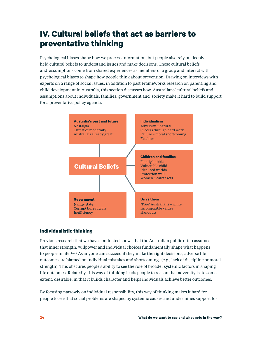## **IV. Cultural beliefs that act as barriers to preventative thinking**

Psychological biases shape how we process information, but people also rely on deeply held cultural beliefs to understand issues and make decisions. These cultural beliefs and assumptions come from shared experiences as members of a group and interact with psychological biases to shape how people think about prevention. Drawing on interviews with experts on a range of social issues, in addition to past FrameWorks research on parenting and child development in Australia, this section discusses how Australians' cultural beliefs and assumptions about individuals, families, government and society make it hard to build support for a preventative policy agenda.



#### **Individualistic thinking**

Previous research that we have conducted shows that the Australian public often assumes that inner strength, willpower and individual choices fundamentally shape what happens to people in life.29, 30 As anyone can succeed if they make the right decisions, adverse life outcomes are blamed on individual mistakes and shortcomings (e.g., lack of discipline or moral strength). This obscures people's ability to see the role of broader systemic factors in shaping life outcomes. Relatedly, this way of thinking leads people to reason that adversity is, to some extent, desirable, in that it builds character and helps individuals achieve better outcomes.

By focusing narrowly on individual responsibility, this way of thinking makes it hard for people to see that social problems are shaped by systemic causes and undermines support for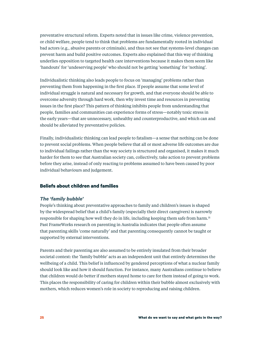preventative structural reform. Experts noted that in issues like crime, violence prevention, or child welfare, people tend to think that problems are fundamentally rooted in individual bad actors (e.g., abusive parents or criminals), and thus not see that systems-level changes can prevent harm and build positive outcomes. Experts also explained that this way of thinking underlies opposition to targeted health care interventions because it makes them seem like 'handouts' for 'undeserving people' who should not be getting 'something' for 'nothing'.

Individualistic thinking also leads people to focus on 'managing' problems rather than preventing them from happening in the first place. If people assume that some level of individual struggle is natural and necessary for growth, and that everyone should be able to overcome adversity through hard work, then why invest time and resources in preventing issues in the first place? This pattern of thinking inhibits people from understanding that people, families and communities can experience forms of stress—notably toxic stress in the early years—that are unnecessary, unhealthy and counterproductive, and which can and should be alleviated by preventative policies.

Finally, individualistic thinking can lead people to fatalism—a sense that nothing can be done to prevent social problems. When people believe that all or most adverse life outcomes are due to individual failings rather than the way society is structured and organised, it makes it much harder for them to see that Australian society can, collectively, take action to prevent problems before they arise, instead of only reacting to problems assumed to have been caused by poor individual behaviours and judgement.

#### **Beliefs about children and families**

#### *The 'family bubble'*

People's thinking about preventative approaches to family and children's issues is shaped by the widespread belief that a child's family (especially their direct caregivers) is narrowly responsible for shaping how well they do in life, including keeping them safe from harm.<sup>31</sup> Past FrameWorks research on parenting in Australia indicates that people often assume that parenting skills 'come naturally' and that parenting consequently cannot be taught or supported by external interventions.

Parents and their parenting are also assumed to be entirely insulated from their broader societal context: the 'family bubble' acts as an independent unit that entirely determines the wellbeing of a child. This belief is influenced by gendered perceptions of what a nuclear family should look like and how it should function. For instance, many Australians continue to believe that children would do better if mothers stayed home to care for them instead of going to work. This places the responsibility of caring for children within their bubble almost exclusively with mothers, which reduces women's role in society to reproducing and raising children.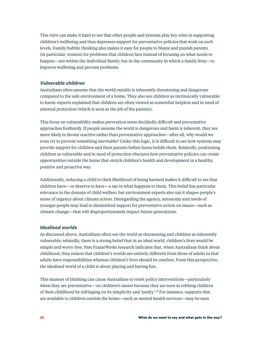This view can make it hard to see that other people and systems play key roles in supporting children's wellbeing and thus depresses support for preventative policies that work on such levels. Family bubble thinking also makes it easy for people to blame and punish parents (in particular, women) for problems that children face instead of focusing on what needs to happen—not within the individual family, but in the community in which a family lives—to improve wellbeing and prevent problems.

#### *Vulnerable children*

Australians often assume that the world outside is inherently threatening and dangerous compared to the safe environment of a home. They also see children as intrinsically vulnerable to harm: experts explained that children are often viewed as somewhat helpless and in need of external protection (which is seen as the job of the parents).

This focus on vulnerability makes prevention seem decidedly difficult and preventative approaches foolhardy. If people assume the world is dangerous and harm is inherent, they are more likely to favour reactive rather than preventative approaches—after all, why would we even try to prevent something inevitable? Under this logic, it is difficult to see how systems may provide support for children and their parents before harm befalls them. Relatedly, positioning children as vulnerable and in need of protection obscures how preventative policies can create opportunities outside the home that enrich children's health and development in a healthy, positive and proactive way.

Additionally, reducing a child to their likelihood of being harmed makes it difficult to see that children have—or deserve to have—a say in what happens to them. This belief has particular relevance in the domain of child welfare, but environment experts also say it shapes people's sense of urgency about climate action. Disregarding the agency, autonomy and needs of younger people may lead to diminished support for preventative action on issues—such as climate change—that will disproportionately impact future generations.

#### *Idealised worlds*

As discussed above, Australians often see the world as threatening and children as inherently vulnerable; relatedly, there is a strong belief that in an ideal world, children's lives would be simple and worry-free. Past FrameWorks research indicates that, when Australians think about childhood, they reason that children's worlds are entirely different from those of adults in that adults have responsibilities whereas children's lives should be carefree. From this perspective, the idealised world of a child is about playing and having fun.

This manner of thinking can cause Australians to resist policy interventions—particularly when they are preventative—on children's issues because they are seen as robbing children of their childhood by infringing on its simplicity and 'purity'.32 For instance, supports that are available to children outside the home—such as mental health services—may be seen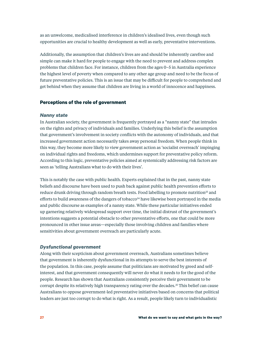as an unwelcome, medicalised interference in children's idealised lives, even though such opportunities are crucial to healthy development as well as early, preventative interventions.

Additionally, the assumption that children's lives are and should be inherently carefree and simple can make it hard for people to engage with the need to prevent and address complex problems that children face. For instance, children from the ages 0–5 in Australia experience the highest level of poverty when compared to any other age group and need to be the focus of future preventative policies. This is an issue that may be difficult for people to comprehend and get behind when they assume that children are living in a world of innocence and happiness.

#### **Perceptions of the role of government**

#### *Nanny state*

In Australian society, the government is frequently portrayed as a "nanny state" that intrudes on the rights and privacy of individuals and families. Underlying this belief is the assumption that government's involvement in society conflicts with the autonomy of individuals, and that increased government action necessarily takes away personal freedom. When people think in this way, they become more likely to view government action as 'socialist overreach' impinging on individual rights and freedoms, which undermines support for preventative policy reform. According to this logic, preventative policies aimed at systemically addressing risk factors are seen as 'telling Australians what to do with their lives'.

This is notably the case with public health. Experts explained that in the past, nanny state beliefs and discourse have been used to push back against public health prevention efforts to reduce drunk driving through random breath tests. Food labelling to promote nutrition<sup>33</sup> and efforts to build awareness of the dangers of tobacco<sup>34</sup> have likewise been portrayed in the media and public discourse as examples of a nanny state. While these particular initiatives ended up garnering relatively widespread support over time, the initial distrust of the government's intentions suggests a potential obstacle to other preventative efforts, one that could be more pronounced in other issue areas—especially those involving children and families where sensitivities about government overreach are particularly acute.

#### *Dysfunctional government*

Along with their scepticism about government overreach, Australians sometimes believe that government is inherently dysfunctional in its attempts to serve the best interests of the population. In this case, people assume that politicians are motivated by greed and selfinterest, and that government consequently will never do what it needs to for the good of the people. Research has shown that Australians consistently perceive their government to be corrupt despite its relatively high transparency rating over the decades.35 This belief can cause Australians to oppose government-led preventative initiatives based on concerns that political leaders are just too corrupt to do what is right. As a result, people likely turn to individualistic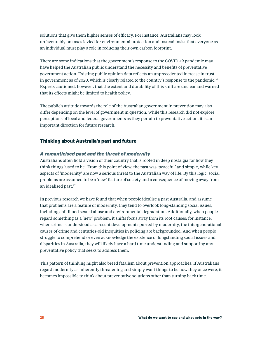solutions that give them higher senses of efficacy. For instance, Australians may look unfavourably on taxes levied for environmental protection and instead insist that everyone as an individual must play a role in reducing their own carbon footprint.

There are some indications that the government's response to the COVID-19 pandemic may have helped the Australian public understand the necessity and benefits of preventative government action. Existing public opinion data reflects an unprecedented increase in trust in government as of 2020, which is clearly related to the country's response to the pandemic.<sup>36</sup> Experts cautioned, however, that the extent and durability of this shift are unclear and warned that its effects might be limited to health policy.

The public's attitude towards the role of the Australian government in prevention may also differ depending on the level of government in question. While this research did not explore perceptions of local and federal governments as they pertain to preventative action, it is an important direction for future research.

#### **Thinking about Australia's past and future**

#### *A romanticised past and the threat of modernity*

Australians often hold a vision of their country that is rooted in deep nostalgia for how they think things 'used to be'. From this point of view, the past was 'peaceful' and simple, while key aspects of 'modernity' are now a serious threat to the Australian way of life. By this logic, social problems are assumed to be a 'new' feature of society and a consequence of moving away from an idealised past.37

In previous research we have found that when people idealise a past Australia, and assume that problems are a feature of modernity, they tend to overlook long-standing social issues, including childhood sexual abuse and environmental degradation. Additionally, when people regard something as a 'new' problem, it shifts focus away from its root causes; for instance, when crime is understood as a recent development spurred by modernity, the intergenerational causes of crime and centuries-old inequities in policing are backgrounded. And when people struggle to comprehend or even acknowledge the existence of longstanding social issues and disparities in Australia, they will likely have a hard time understanding and supporting any preventative policy that seeks to address them.

This pattern of thinking might also breed fatalism about prevention approaches. If Australians regard modernity as inherently threatening and simply want things to be how they once were, it becomes impossible to think about preventative solutions other than turning back time.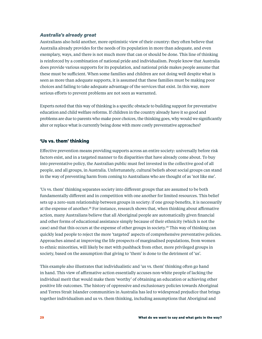#### *Australia's already great*

Australians also hold another, more optimistic view of their country: they often believe that Australia already provides for the needs of its population in more than adequate, and even exemplary, ways, and there is not much more that can or should be done. This line of thinking is reinforced by a combination of national pride and individualism. People know that Australia does provide various supports for its population, and national pride makes people assume that these must be sufficient. When some families and children are not doing well despite what is seen as more than adequate supports, it is assumed that these families must be making poor choices and failing to take adequate advantage of the services that exist. In this way, more serious efforts to prevent problems are not seen as warranted.

Experts noted that this way of thinking is a specific obstacle to building support for preventative education and child welfare reforms. If children in the country already have it so good and problems are due to parents who make poor choices, the thinking goes, why would we significantly alter or replace what is currently being done with more costly preventative approaches?

#### **'Us vs. them' thinking**

Effective prevention means providing supports across an entire society: universally before risk factors exist, and in a targeted manner to fix disparities that have already come about. To buy into preventative policy, the Australian public must feel invested in the collective good of all people, and all groups, in Australia. Unfortunately, cultural beliefs about social groups can stand in the way of preventing harm from coming to Australians who are thought of as 'not like me'.

'Us vs. them' thinking separates society into different groups that are assumed to be both fundamentally different and in competition with one another for limited resources. This belief sets up a zero-sum relationship between groups in society: if one group benefits, it is necessarily at the expense of another.<sup>38</sup> For instance, research shows that, when thinking about affirmative action, many Australians believe that all Aboriginal people are automatically given financial and other forms of educational assistance simply because of their ethnicity (which is not the case) and that this occurs at the expense of other groups in society.39 This way of thinking can quickly lead people to reject the more 'targeted' aspects of comprehensive preventative policies. Approaches aimed at improving the life prospects of marginalised populations, from women to ethnic minorities, will likely be met with pushback from other, more privileged groups in society, based on the assumption that giving to 'them' is done to the detriment of 'us'.

This example also illustrates that individualistic and 'us vs. them' thinking often go hand in hand. This view of affirmative action essentially accuses non-white people of lacking the individual merit that would make them 'worthy' of obtaining an education or achieving other positive life outcomes. The history of oppressive and exclusionary policies towards Aboriginal and Torres Strait Islander communities in Australia has led to widespread prejudice that brings together individualism and us vs. them thinking, including assumptions that Aboriginal and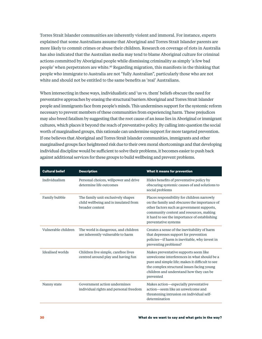Torres Strait Islander communities are inherently violent and immoral. For instance, experts explained that some Australians assume that Aboriginal and Torres Strait Islander parents are more likely to commit crimes or abuse their children. Research on coverage of riots in Australia has also indicated that the Australian media may tend to blame Aboriginal culture for criminal actions committed by Aboriginal people while dismissing criminality as simply 'a few bad people' when perpetrators are white.40 Regarding migration, this manifests in the thinking that people who immigrate to Australia are not "fully Australian", particularly those who are not white and should not be entitled to the same benefits as 'real' Australians.

When intersecting in these ways, individualistic and 'us vs. them' beliefs obscure the need for preventative approaches by erasing the structural barriers Aboriginal and Torres Strait Islander people and immigrants face from people's minds. This undermines support for the systemic reform necessary to prevent members of these communities from experiencing harm. These prejudices may also breed fatalism by suggesting that the root cause of an issue lies in Aboriginal or immigrant cultures, which places it beyond the reach of preventative policy. By calling into question the social worth of marginalised groups, this rationale can undermine support for more targeted prevention. If one believes that Aboriginal and Torres Strait Islander communities, immigrants and other marginalised groups face heightened risk due to their own moral shortcomings and that developing individual discipline would be sufficient to solve their problems, it becomes easier to push back against additional services for these groups to build wellbeing and prevent problems.

| <b>Cultural belief</b> | <b>Description</b>                                                                             | What it means for prevention                                                                                                                                                                                                                                  |
|------------------------|------------------------------------------------------------------------------------------------|---------------------------------------------------------------------------------------------------------------------------------------------------------------------------------------------------------------------------------------------------------------|
| Individualism          | Personal choices, willpower and drive<br>determine life outcomes                               | Hides benefits of preventative policy by<br>obscuring systemic causes of and solutions to<br>social problems                                                                                                                                                  |
| Family bubble          | The family unit exclusively shapes<br>child wellbeing and is insulated from<br>broader context | Places responsibility for children narrowly<br>on the family and obscures the importance of<br>other factors such as government supports,<br>community context and resources, making<br>it hard to see the importance of establishing<br>preventative systems |
| Vulnerable children    | The world is dangerous, and children<br>are inherently vulnerable to harm                      | Creates a sense of the inevitability of harm<br>that depresses support for prevention<br>policies—if harm is inevitable, why invest in<br>preventing problems?                                                                                                |
| Idealised worlds       | Children live simple, carefree lives<br>centred around play and having fun                     | Makes preventative supports seem like<br>unwelcome interferences in what should be a<br>pure and simple life; makes it difficult to see<br>the complex structural issues facing young<br>children and understand how they can be<br>prevented                 |
| Nanny state            | Government action undermines<br>individual rights and personal freedom                         | Makes action—especially preventative<br>action-seem like an unwelcome and<br>threatening intrusion on individual self-<br>determination                                                                                                                       |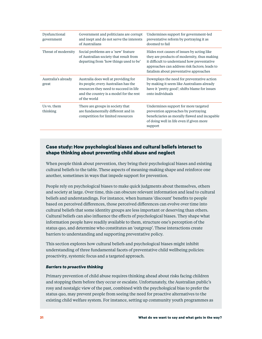| Dysfunctional<br>government  | Government and politicians are corrupt<br>and inept and do not serve the interests<br>of Australians                                                                              | Undermines support for government-led<br>preventative reform by portraying it as<br>doomed to fail                                                                                                                                  |
|------------------------------|-----------------------------------------------------------------------------------------------------------------------------------------------------------------------------------|-------------------------------------------------------------------------------------------------------------------------------------------------------------------------------------------------------------------------------------|
| Threat of modernity          | Social problems are a 'new' feature<br>of Australian society that result from<br>departing from 'how things used to be'                                                           | Hides root causes of issues by acting like<br>they are products of modernity, thus making<br>it difficult to understand how preventative<br>approaches can address risk factors; leads to<br>fatalism about preventative approaches |
| Australia's already<br>great | Australia does well at providing for<br>its people; every Australian has the<br>resources they need to succeed in life<br>and the country is a model for the rest<br>of the world | Downplays the need for preventative action<br>by making it seem like Australians already<br>have it 'pretty good'; shifts blame for issues<br>onto individuals                                                                      |
| Us vs. them<br>thinking      | There are groups in society that<br>are fundamentally different and in<br>competition for limited resources                                                                       | Undermines support for more targeted<br>prevention approaches by portraying<br>beneficiaries as morally flawed and incapable<br>of doing well in life even if given more<br>support                                                 |

#### **Case study: How psychological biases and cultural beliefs interact to shape thinking about preventing child abuse and neglect**

When people think about prevention, they bring their psychological biases and existing cultural beliefs to the table. These aspects of meaning-making shape and reinforce one another, sometimes in ways that impede support for prevention.

People rely on psychological biases to make quick judgments about themselves, others and society at large. Over time, this can obscure relevant information and lead to cultural beliefs and understandings. For instance, when humans 'discount' benefits to people based on perceived differences, those perceived differences can evolve over time into cultural beliefs that some identity groups are less important or deserving than others. Cultural beliefs can also influence the effects of psychological biases. They shape what information people have readily available to them, structure one's perception of the status quo, and determine who constitutes an 'outgroup'. These interactions create barriers to understanding and supporting preventative policy.

This section explores how cultural beliefs and psychological biases might inhibit understanding of three fundamental facets of preventative child wellbeing policies: proactivity, systemic focus and a targeted approach.

#### *Barriers to proactive thinking*

Primary prevention of child abuse requires thinking ahead about risks facing children and stopping them before they occur or escalate. Unfortunately, the Australian public's rosy and nostalgic view of the past, combined with the psychological bias to prefer the status quo, may prevent people from seeing the need for proactive alternatives to the existing child welfare system. For instance, setting up community youth programmes as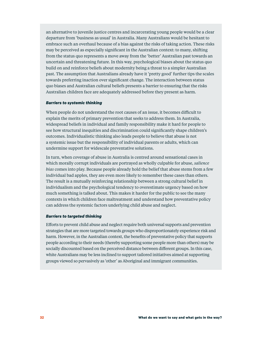an alternative to juvenile justice centres and incarcerating young people would be a clear departure from 'business as usual' in Australia. Many Australians would be hesitant to embrace such an overhaul because of a bias against the risks of taking action. These risks may be perceived as especially significant in the Australian context: to many, shifting from the status quo represents a move away from the 'better' Australian past towards an uncertain and threatening future. In this way, psychological biases about the status quo build on and reinforce beliefs about modernity being a threat to a simpler Australian past. The assumption that Australians already have it 'pretty good' further tips the scales towards preferring inaction over significant change. The interaction between status quo biases and Australian cultural beliefs presents a barrier to ensuring that the risks Australian children face are adequately addressed before they present as harm.

#### *Barriers to systemic thinking*

When people do not understand the root causes of an issue, it becomes difficult to explain the merits of primary prevention that seeks to address them. In Australia, widespread beliefs in individual and family responsibility make it hard for people to see how structural inequities and discrimination could significantly shape children's outcomes. Individualistic thinking also leads people to believe that abuse is not a systemic issue but the responsibility of individual parents or adults, which can undermine support for widescale preventative solutions.

In turn, when coverage of abuse in Australia is centred around sensational cases in which morally corrupt individuals are portrayed as wholly culpable for abuse, *salience bias* comes into play. Because people already hold the belief that abuse stems from a few individual bad apples, they are even more likely to remember these cases than others. The result is a mutually reinforcing relationship between a strong cultural belief in individualism and the psychological tendency to overestimate urgency based on how much something is talked about. This makes it harder for the public to see the many contexts in which children face maltreatment and understand how preventative policy can address the systemic factors underlying child abuse and neglect.

#### *Barriers to targeted thinking*

Efforts to prevent child abuse and neglect require both universal supports and prevention strategies that are more targeted towards groups who disproportionately experience risk and harm. However, in the Australian context, the benefits of preventative policy that supports people according to their needs (thereby supporting some people more than others) may be socially discounted based on the perceived distance between different groups. In this case, white Australians may be less inclined to support tailored initiatives aimed at supporting groups viewed so pervasively as 'other' as Aboriginal and immigrant communities.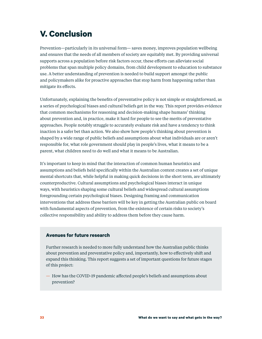## **V. Conclusion**

Prevention—particularly in its universal form— saves money, improves population wellbeing and ensures that the needs of all members of society are equitably met. By providing universal supports across a population before risk factors occur, these efforts can alleviate social problems that span multiple policy domains, from child development to education to substance use. A better understanding of prevention is needed to build support amongst the public and policymakers alike for proactive approaches that stop harm from happening rather than mitigate its effects.

Unfortunately, explaining the benefits of preventative policy is not simple or straightforward, as a series of psychological biases and cultural beliefs get in the way. This report provides evidence that common mechanisms for reasoning and decision-making shape humans' thinking about prevention and, in practice, make it hard for people to see the merits of preventative approaches. People notably struggle to accurately evaluate risk and have a tendency to think inaction is a safer bet than action. We also show how people's thinking about prevention is shaped by a wide range of public beliefs and assumptions about what individuals are or aren't responsible for, what role government should play in people's lives, what it means to be a parent, what children need to do well and what it means to be Australian.

It's important to keep in mind that the interaction of common human heuristics and assumptions and beliefs held specifically within the Australian context creates a set of unique mental shortcuts that, while helpful in making quick decisions in the short term, are ultimately counterproductive. Cultural assumptions and psychological biases interact in unique ways, with heuristics shaping some cultural beliefs and widespread cultural assumptions foregrounding certain psychological biases. Designing framing and communication interventions that address these barriers will be key in getting the Australian public on board with fundamental aspects of prevention, from the existence of certain risks to society's collective responsibility and ability to address them before they cause harm.

#### **Avenues for future research**

Further research is needed to more fully understand how the Australian public thinks about prevention and preventative policy and, importantly, how to effectively shift and expand this thinking. This report suggests a set of important questions for future stages of this project:

— How has the COVID-19 pandemic affected people's beliefs and assumptions about prevention?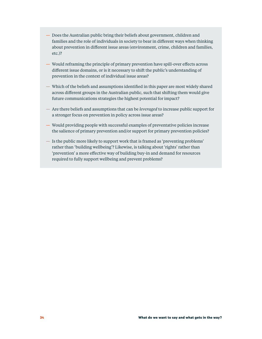- Does the Australian public bring their beliefs about government, children and families and the role of individuals in society to bear in different ways when thinking about prevention in different issue areas (environment, crime, children and families, etc.)?
- Would reframing the principle of primary prevention have spill-over effects across different issue domains, or is it necessary to shift the public's understanding of prevention in the context of individual issue areas?
- Which of the beliefs and assumptions identified in this paper are most widely shared across different groups in the Australian public, such that shifting them would give future communications strategies the highest potential for impact?
- Are there beliefs and assumptions that can be *leveraged* to increase public support for a stronger focus on prevention in policy across issue areas?
- Would providing people with successful examples of preventative policies increase the salience of primary prevention and/or support for primary prevention policies?
- Is the public more likely to support work that is framed as 'preventing problems' rather than 'building wellbeing'? Likewise, is talking about 'rights' rather than 'prevention' a more effective way of building buy-in and demand for resources required to fully support wellbeing and prevent problems?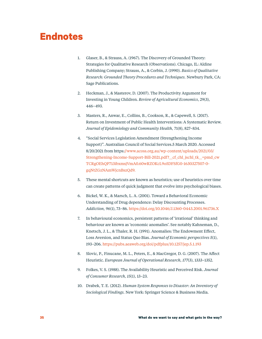## **Endnotes**

- 1. Glaser, B., & Strauss, A. (1967). The Discovery of Grounded Theory: Strategies for Qualitative Research (Observations). Chicago, IL: Aldine Publishing Company; Strauss, A., & Corbin, J. (1990). *Basics of Qualitative Research: Grounded Theory Procedures and Techniques.* Newbury Park, CA: Sage Publications.
- 2. Heckman, J., & Masterov, D. (2007). The Productivity Argument for Investing in Young Children. *Review of Agricultural Economics*, 29(3), 446–493.
- 3. Masters, R., Anwar, E., Collins, B., Cookson, R., & Capewell, S. (2017). Return on Investment of Public Health Interventions: A Systematic Review. *Journal of Epidemiology and Community Health,* 71(8), 827–834.
- 4. "Social Services Legislation Amendment (Strengthening Income Support)". Australian Council of Social Services.5 March 2020. Accessed 8/20/2021 from https:[//www.acoss.org.au/wp-content/uploads/2021/03/](http:////www.acoss.org.au/wp-content/uploads/2021/03/Strengthening-Income-Support-Bill-2021.pdf?__cf_chl_jschl_tk__=pmd_cwTCRgOEhQP713ibxmsjVmA0.60wRZOKcL9o5DFSfG0-1630327507-0-gqNtZGzNAmWjcnBszQd9.) [Strengthening-Income-Support-Bill-2021.pdf?\\_\\_cf\\_chl\\_jschl\\_tk\\_\\_=pmd\\_cw](http:////www.acoss.org.au/wp-content/uploads/2021/03/Strengthening-Income-Support-Bill-2021.pdf?__cf_chl_jschl_tk__=pmd_cwTCRgOEhQP713ibxmsjVmA0.60wRZOKcL9o5DFSfG0-1630327507-0-gqNtZGzNAmWjcnBszQd9.) [TCRgOEhQP713ibxmsjVmA0.60wRZOKcL9o5DFSfG0-1630327507-0](http:////www.acoss.org.au/wp-content/uploads/2021/03/Strengthening-Income-Support-Bill-2021.pdf?__cf_chl_jschl_tk__=pmd_cwTCRgOEhQP713ibxmsjVmA0.60wRZOKcL9o5DFSfG0-1630327507-0-gqNtZGzNAmWjcnBszQd9.) [gqNtZGzNAmWjcnBszQd9.](http:////www.acoss.org.au/wp-content/uploads/2021/03/Strengthening-Income-Support-Bill-2021.pdf?__cf_chl_jschl_tk__=pmd_cwTCRgOEhQP713ibxmsjVmA0.60wRZOKcL9o5DFSfG0-1630327507-0-gqNtZGzNAmWjcnBszQd9.)
- 5. These mental shortcuts are known as heuristics; use of heuristics over time can create patterns of quick judgment that evolve into psychological biases.
- 6. Bickel, W. K., & Marsch, L. A. (2001). Toward a Behavioral Economic Understanding of Drug dependence: Delay Discounting Processes. *Addiction, 96*(1), 73–86. [https://doi.org/10.1046/J.1360-0443.2001.961736.X](https://doi.org/10.1046/J.1360-0443.2001.961736.X )
- 7. In behavioural economics, persistent patterns of 'irrational' thinking and behaviour are known as 'economic anomalies'. See notably Kahneman, D., Knetsch, J. L., & Thaler, R. H. (1991). Anomalies: The Endowment Effect, Loss Aversion, and Status Quo Bias. *Journal of Economic perspectives 5*(1), 193–206. <https://pubs.aeaweb.org/doi/pdfplus/10.1257/jep.5.1.193>
- 8. Slovic, P., Finucane, M. L., Peters, E., & MacGregor, D. G. (2007). The Affect Heuristic. *European Journal of Operational Research, 177*(3), 1333–1352.
- 9. Folkes, V. S. (1988). The Availability Heuristic and Perceived Risk. *Journal of Consumer Research, 15*(1), 13–23.
- 10. Drabek, T. E. (2012). *Human System Responses to Disaster: An Inventory of Sociological Findings.* New York: Springer Science & Business Media.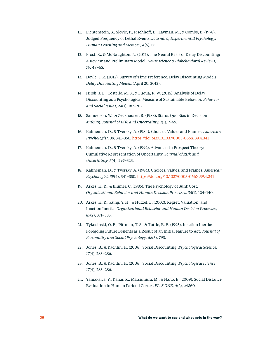- 11. Lichtenstein, S., Slovic, P., Fischhoff, B., Layman, M., & Combs, B. (1978). Judged Frequency of Lethal Events. *Journal of Experimental Psychology: Human Learning and Memory, 4*(6), 551.
- 12. Frost, R., & McNaughton, N. (2017). The Neural Basis of Delay Discounting: A Review and Preliminary Model. *Neuroscience & Biobehavioral Reviews, 79,* 48–65.
- 13. Doyle, J. R. (2012). Survey of Time Preference, Delay Discounting Models. *Delay Discounting Models* (April 20, 2012).
- 14. Hirsh, J. L., Costello, M. S., & Fuqua, R. W. (2015). Analysis of Delay Discounting as a Psychological Measure of Sustainable Behavior. *Behavior and Social Issues, 24*(1), 187–202.
- 15. Samuelson, W., & Zeckhauser, R. (1988). Status Quo Bias in Decision *Making. Journal of Risk and Uncertainty, 1*(1), 7–59.
- 16. Kahneman, D., & Tversky, A. (1984). Choices, Values and Frames. *American Psychologist, 39,* 341–350. [https://doi.org/10.1037/0003-066X.39.4.341](https://doi.org/10.1037/0003-066X.39.4.341 )
- 17. Kahneman, D., & Tversky, A. (1992). Advances in Prospect Theory: Cumulative Representation of Uncertainty. *Journal of Risk and Uncertainty, 5(*4), 297–323.
- 18. Kahneman, D., & Tversky, A. (1984). Choices, Values, and Frames. *American Psychologist, 39*(4), 341–350. [https://doi.org/10.1037/0003-066X.39.4.341](https://doi.org/10.1037/0003-066X.39.4.341 )
- 19. Arkes, H. R., & Blumer, C. (1985). The Psychology of Sunk Cost. *Organizational Behavior and Human Decision Processes, 35*(1), 124–140.
- 20. Arkes, H. R., Kung, Y. H., & Hutzel, L. (2002). Regret, Valuation, and Inaction Inertia. *Organizational Behavior and Human Decision Processes, 87*(2), 371–385.
- 21. Tykocinski, O. E., Pittman, T. S., & Tuttle, E. E. (1995). Inaction Inertia: Foregoing Future Benefits as a Result of an Initial Failure to Act. *Journal of Personality and Social Psychology, 68(*5), 793.
- 22. Jones, B., & Rachlin, H. (2006). Social Discounting. *Psychological Science, 17*(4), 283–286.
- 23. Jones, B., & Rachlin, H. (2006). Social Discounting. *Psychological science, 17*(4), 283–286.
- 24. Yamakawa, Y., Kanai, R., Matsumura, M., & Naito, E. (2009). Social Distance Evaluation in Human Parietal Cortex. *PLoS ONE, 4*(2), e4360.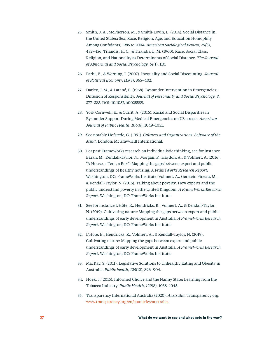- 25. Smith, J. A., McPherson, M., & Smith-Lovin, L. (2014). Social Distance in the United States: Sex, Race, Religion, Age, and Education Homophily Among Confidants, 1985 to 2004. *American Sociological Review, 79(*3), 432–456; Triandis, H. C., & Triandis, L. M. (1960). Race, Social Class, Religion, and Nationality as Determinants of Social Distance. *The Journal of Abnormal and Social Psychology, 61*(1), 110.
- 26. Farhi, E., & Werning, I. (2007). Inequality and Social Discounting. *Journal of Political Economy, 115*(3), 365–402.
- 27. Darley, J. M., & Latané, B. (1968). Bystander Intervention in Emergencies: Diffusion of Responsibility. *Journal of Personality and Social Psychology, 8,* 377–383. DOI: 10.1037/h0025589.
- 28. York Cornwell, E., & Currit, A. (2016). Racial and Social Disparities in Bystander Support During Medical Emergencies on US streets. *American Journal of Public Health, 106*(6), 1049–1051.
- 29. See notably Hofstede, G. (1991). *Cultures and Organizations: Software of the Mind.* London: McGraw-Hill International.
- 30. For past FrameWorks research on individualistic thinking, see for instance Baran, M., Kendall-Taylor, N., Morgan, P., Haydon, A., & Volmert, A. (2016). "A House, a Tent, a Box": Mapping the gaps between expert and public understandings of healthy housing. *A FrameWorks Research Report.*  Washington, DC: FrameWorks Institute; Volmert, A., Gerstein Pineau, M., & Kendall-Taylor, N. (2016). Talking about poverty: How experts and the public understand poverty in the United Kingdom. *A FrameWorks Research Report.* Washington, DC: FrameWorks Institute.
- 31. See for instance L'Hôte, E., Hendricks, R., Volmert, A., & Kendall-Taylor, N. (2019). Cultivating nature: Mapping the gaps between expert and public understandings of early development in Australia. *A FrameWorks Research Report.* Washington, DC: FrameWorks Institute.
- 32. L'Hôte, E., Hendricks, R., Volmert, A., & Kendall-Taylor, N. (2019). Cultivating nature: Mapping the gaps between expert and public understandings of early development in Australia. *A FrameWorks Research Report.* Washington, DC: FrameWorks Institute.
- 33. MacKay, S. (2011). Legislative Solutions to Unhealthy Eating and Obesity in Australia. *Public health, 125*(12), 896–904.
- 34. Hoek, J. (2015). Informed Choice and the Nanny State: Learning from the Tobacco Industry. *Public Health, 129*(8), 1038–1045.
- 35. Transparency International Australia (2020)*. Australia.* Transparency.org. [www.transparency.org/en/countries/australia](http://www.transparency.org/en/countries/australia).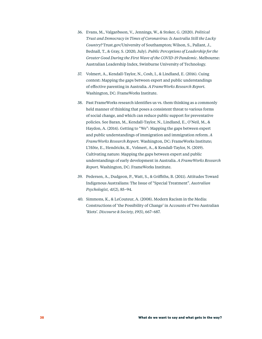- 36. Evans, M., Valgarðsson, V., Jennings, W., & Stoker, G. (2020). *Political Trust and Democracy in Times of Coronavirus: Is Australia Still the Lucky Country?* Trust.gov/University of Southampton; Wilson, S., Pallant, J., Bednall, T., & Gray, S. (2020, July). *Public Perceptions of Leadership for the Greater Good During the First Wave of the COVID-19 Pandemic.* Melbourne: Australian Leadership Index, Swinburne University of Technology.
- 37. Volmert, A., Kendall-Taylor, N., Cosh, I., & Lindland, E. (2016). Cuing context: Mapping the gaps between expert and public understandings of effective parenting in Australia. *A FrameWorks Research Report.*  Washington, DC: FrameWorks Institute.
- 38. Past FrameWorks research identifies us vs. them thinking as a commonly held manner of thinking that poses a consistent threat to various forms of social change, and which can reduce public support for preventative policies. See Baran, M., Kendall-Taylor, N., Lindland, E., O'Neil, M., & Haydon, A. (2014). Getting to "We": Mapping the gaps between expert and public understandings of immigration and immigration reform. *A FrameWorks Research Report.* Washington, DC: FrameWorks Institute; L'Hôte, E., Hendricks, R., Volmert, A., & Kendall-Taylor, N. (2019). Cultivating nature: Mapping the gaps between expert and public understandings of early development in Australia. *A FrameWorks Research Report.* Washington, DC: FrameWorks Institute.
- 39. Pedersen, A., Dudgeon, P., Watt, S., & Griffiths, B. (2011). Attitudes Toward Indigenous Australians: The Issue of "Special Treatment". *Australian Psychologist, 41*(2), 85–94.
- 40. Simmons, K., & LeCouteur, A. (2008). Modern Racism in the Media: Constructions of 'the Possibility of Change' in Accounts of Two Australian 'Riots'. *Discourse & Society, 19*(5), 667–687.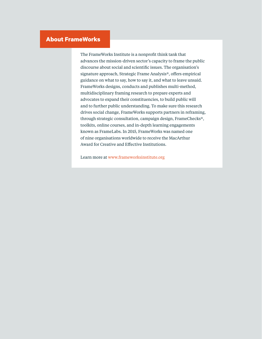### **About FrameWorks**

The FrameWorks Institute is a nonprofit think tank that advances the mission-driven sector's capacity to frame the public discourse about social and scientific issues. The organisation's signature approach, Strategic Frame Analysis®, offers empirical guidance on what to say, how to say it, and what to leave unsaid. FrameWorks designs, conducts and publishes multi-method, multidisciplinary framing research to prepare experts and advocates to expand their constituencies, to build public will and to further public understanding. To make sure this research drives social change, FrameWorks supports partners in reframing, through strategic consultation, campaign design, FrameChecks®, toolkits, online courses, and in-depth learning engagements known as FrameLabs. In 2015, FrameWorks was named one of nine organisations worldwide to receive the MacArthur Award for Creative and Effective Institutions.

Learn more at www.frameworksinstitute.org